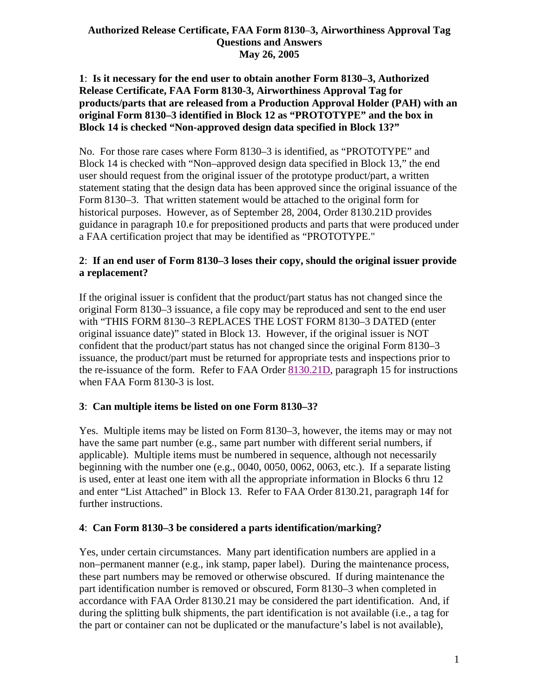### **Authorized Release Certificate, FAA Form 8130**–**3, Airworthiness Approval Tag Questions and Answers May 26, 2005**

## **1**: **Is it necessary for the end user to obtain another Form 8130–3, Authorized Release Certificate, FAA Form 8130-3, Airworthiness Approval Tag for products/parts that are released from a Production Approval Holder (PAH) with an original Form 8130–3 identified in Block 12 as "PROTOTYPE" and the box in Block 14 is checked "Non-approved design data specified in Block 13?"**

No. For those rare cases where Form 8130–3 is identified, as "PROTOTYPE" and Block 14 is checked with "Non–approved design data specified in Block 13," the end user should request from the original issuer of the prototype product/part, a written statement stating that the design data has been approved since the original issuance of the Form 8130–3. That written statement would be attached to the original form for historical purposes. However, as of September 28, 2004, Order 8130.21D provides guidance in paragraph 10.e for prepositioned products and parts that were produced under a FAA certification project that may be identified as "PROTOTYPE."

# **2**: **If an end user of Form 8130–3 loses their copy, should the original issuer provide a replacement?**

If the original issuer is confident that the product/part status has not changed since the original Form 8130–3 issuance, a file copy may be reproduced and sent to the end user with "THIS FORM 8130–3 REPLACES THE LOST FORM 8130–3 DATED (enter original issuance date)" stated in Block 13. However, if the original issuer is NOT confident that the product/part status has not changed since the original Form 8130–3 issuance, the product/part must be returned for appropriate tests and inspections prior to the re-issuance of the form. Refer to FAA Order 8130.21D, paragraph 15 for instructions when FAA Form 8130-3 is lost.

# **3**: **Can multiple items be listed on one Form 8130–3?**

Yes. Multiple items may be listed on Form 8130–3, however, the items may or may not have the same part number (e.g., same part number with different serial numbers, if applicable). Multiple items must be numbered in sequence, although not necessarily beginning with the number one (e.g., 0040, 0050, 0062, 0063, etc.). If a separate listing is used, enter at least one item with all the appropriate information in Blocks 6 thru 12 and enter "List Attached" in Block 13. Refer to FAA Order 8130.21, paragraph 14f for further instructions.

## **4**: **Can Form 8130–3 be considered a parts identification/marking?**

Yes, under certain circumstances. Many part identification numbers are applied in a non–permanent manner (e.g., ink stamp, paper label). During the maintenance process, these part numbers may be removed or otherwise obscured. If during maintenance the part identification number is removed or obscured, Form 8130–3 when completed in accordance with FAA Order 8130.21 may be considered the part identification. And, if during the splitting bulk shipments, the part identification is not available (i.e., a tag for the part or container can not be duplicated or the manufacture's label is not available),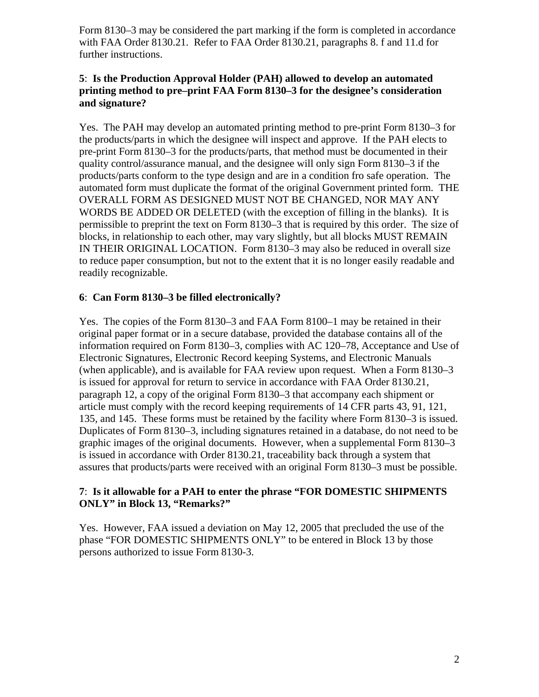Form 8130–3 may be considered the part marking if the form is completed in accordance with FAA Order 8130.21. Refer to FAA Order 8130.21, paragraphs 8. f and 11.d for further instructions.

## **5**: **Is the Production Approval Holder (PAH) allowed to develop an automated printing method to pre–print FAA Form 8130–3 for the designee's consideration and signature?**

Yes. The PAH may develop an automated printing method to pre-print Form 8130–3 for the products/parts in which the designee will inspect and approve. If the PAH elects to pre-print Form 8130–3 for the products/parts, that method must be documented in their quality control/assurance manual, and the designee will only sign Form 8130–3 if the products/parts conform to the type design and are in a condition fro safe operation. The automated form must duplicate the format of the original Government printed form. THE OVERALL FORM AS DESIGNED MUST NOT BE CHANGED, NOR MAY ANY WORDS BE ADDED OR DELETED (with the exception of filling in the blanks). It is permissible to preprint the text on Form 8130–3 that is required by this order. The size of blocks, in relationship to each other, may vary slightly, but all blocks MUST REMAIN IN THEIR ORIGINAL LOCATION. Form 8130–3 may also be reduced in overall size to reduce paper consumption, but not to the extent that it is no longer easily readable and readily recognizable.

# **6**: **Can Form 8130–3 be filled electronically?**

Yes. The copies of the Form 8130–3 and FAA Form 8100–1 may be retained in their original paper format or in a secure database, provided the database contains all of the information required on Form 8130–3, complies with AC 120–78, Acceptance and Use of Electronic Signatures, Electronic Record keeping Systems, and Electronic Manuals (when applicable), and is available for FAA review upon request. When a Form 8130–3 is issued for approval for return to service in accordance with FAA Order 8130.21, paragraph 12, a copy of the original Form 8130–3 that accompany each shipment or article must comply with the record keeping requirements of 14 CFR parts 43, 91, 121, 135, and 145. These forms must be retained by the facility where Form 8130–3 is issued. Duplicates of Form 8130–3, including signatures retained in a database, do not need to be graphic images of the original documents. However, when a supplemental Form 8130–3 is issued in accordance with Order 8130.21, traceability back through a system that assures that products/parts were received with an original Form 8130–3 must be possible.

## **7**: **Is it allowable for a PAH to enter the phrase "FOR DOMESTIC SHIPMENTS ONLY" in Block 13, "Remarks?"**

Yes. However, FAA issued a deviation on May 12, 2005 that precluded the use of the phase "FOR DOMESTIC SHIPMENTS ONLY" to be entered in Block 13 by those persons authorized to issue Form 8130-3.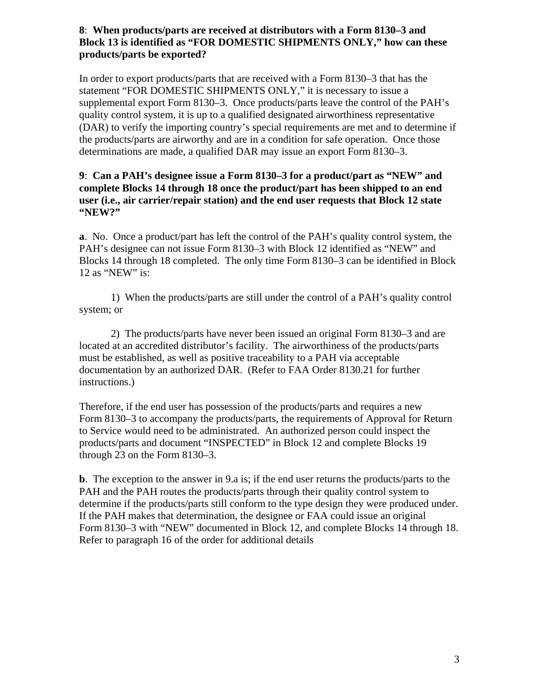### **8**: **When products/parts are received at distributors with a Form 8130–3 and Block 13 is identified as "FOR DOMESTIC SHIPMENTS ONLY," how can these products/parts be exported?**

In order to export products/parts that are received with a Form 8130–3 that has the statement "FOR DOMESTIC SHIPMENTS ONLY," it is necessary to issue a supplemental export Form 8130–3. Once products/parts leave the control of the PAH's quality control system, it is up to a qualified designated airworthiness representative (DAR) to verify the importing country's special requirements are met and to determine if the products/parts are airworthy and are in a condition for safe operation. Once those determinations are made, a qualified DAR may issue an export Form 8130–3.

#### **9**: **Can a PAH's designee issue a Form 8130–3 for a product/part as "NEW" and complete Blocks 14 through 18 once the product/part has been shipped to an end user (i.e., air carrier/repair station) and the end user requests that Block 12 state "NEW?"**

**a**. No. Once a product/part has left the control of the PAH's quality control system, the PAH's designee can not issue Form 8130–3 with Block 12 identified as "NEW" and Blocks 14 through 18 completed. The only time Form 8130–3 can be identified in Block 12 as "NEW" is:

1) When the products/parts are still under the control of a PAH's quality control system; or

2) The products/parts have never been issued an original Form 8130–3 and are located at an accredited distributor's facility. The airworthiness of the products/parts must be established, as well as positive traceability to a PAH via acceptable documentation by an authorized DAR. (Refer to FAA Order 8130.21 for further instructions.)

Therefore, if the end user has possession of the products/parts and requires a new Form 8130–3 to accompany the products/parts, the requirements of Approval for Return to Service would need to be administrated. An authorized person could inspect the products/parts and document "INSPECTED" in Block 12 and complete Blocks 19 through 23 on the Form 8130–3.

**b**. The exception to the answer in 9.a is; if the end user returns the products/parts to the PAH and the PAH routes the products/parts through their quality control system to determine if the products/parts still conform to the type design they were produced under. If the PAH makes that determination, the designee or FAA could issue an original Form 8130–3 with "NEW" documented in Block 12, and complete Blocks 14 through 18. Refer to paragraph 16 of the order for additional details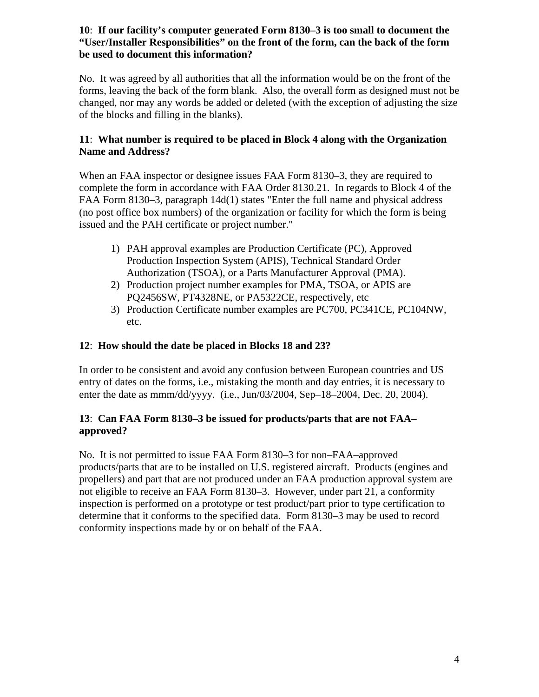### **10**: **If our facility's computer generated Form 8130–3 is too small to document the "User/Installer Responsibilities" on the front of the form, can the back of the form be used to document this information?**

No. It was agreed by all authorities that all the information would be on the front of the forms, leaving the back of the form blank. Also, the overall form as designed must not be changed, nor may any words be added or deleted (with the exception of adjusting the size of the blocks and filling in the blanks).

# **11**: **What number is required to be placed in Block 4 along with the Organization Name and Address?**

When an FAA inspector or designee issues FAA Form 8130–3, they are required to complete the form in accordance with FAA Order 8130.21. In regards to Block 4 of the FAA Form 8130–3, paragraph 14d(1) states "Enter the full name and physical address (no post office box numbers) of the organization or facility for which the form is being issued and the PAH certificate or project number."

- 1) PAH approval examples are Production Certificate (PC), Approved Production Inspection System (APIS), Technical Standard Order Authorization (TSOA), or a Parts Manufacturer Approval (PMA).
- 2) Production project number examples for PMA, TSOA, or APIS are PQ2456SW, PT4328NE, or PA5322CE, respectively, etc
- 3) Production Certificate number examples are PC700, PC341CE, PC104NW, etc.

# **12**: **How should the date be placed in Blocks 18 and 23?**

In order to be consistent and avoid any confusion between European countries and US entry of dates on the forms, i.e., mistaking the month and day entries, it is necessary to enter the date as mmm/dd/yyyy. (i.e., Jun/03/2004, Sep–18–2004, Dec. 20, 2004).

# **13**: **Can FAA Form 8130–3 be issued for products/parts that are not FAA– approved?**

No. It is not permitted to issue FAA Form 8130–3 for non–FAA–approved products/parts that are to be installed on U.S. registered aircraft. Products (engines and propellers) and part that are not produced under an FAA production approval system are not eligible to receive an FAA Form 8130–3. However, under part 21, a conformity inspection is performed on a prototype or test product/part prior to type certification to determine that it conforms to the specified data. Form 8130–3 may be used to record conformity inspections made by or on behalf of the FAA.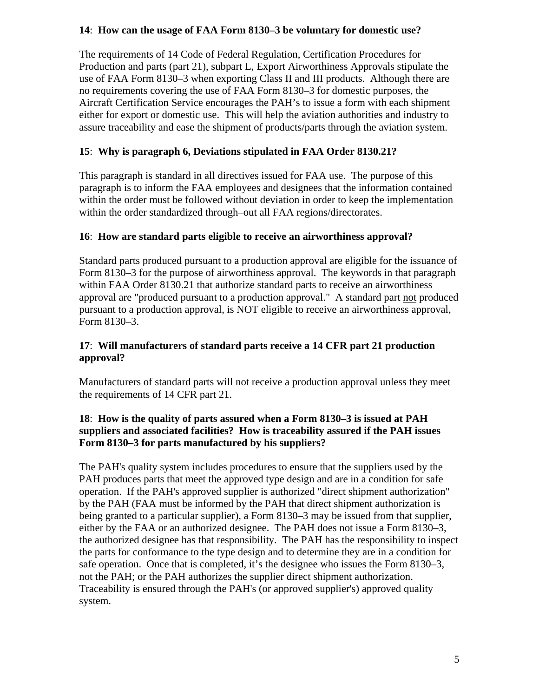## **14**: **How can the usage of FAA Form 8130–3 be voluntary for domestic use?**

The requirements of 14 Code of Federal Regulation, Certification Procedures for Production and parts (part 21), subpart L, Export Airworthiness Approvals stipulate the use of FAA Form 8130–3 when exporting Class II and III products. Although there are no requirements covering the use of FAA Form 8130–3 for domestic purposes, the Aircraft Certification Service encourages the PAH's to issue a form with each shipment either for export or domestic use. This will help the aviation authorities and industry to assure traceability and ease the shipment of products/parts through the aviation system.

# **15**: **Why is paragraph 6, Deviations stipulated in FAA Order 8130.21?**

This paragraph is standard in all directives issued for FAA use. The purpose of this paragraph is to inform the FAA employees and designees that the information contained within the order must be followed without deviation in order to keep the implementation within the order standardized through–out all FAA regions/directorates.

# **16**: **How are standard parts eligible to receive an airworthiness approval?**

Standard parts produced pursuant to a production approval are eligible for the issuance of Form 8130–3 for the purpose of airworthiness approval. The keywords in that paragraph within FAA Order 8130.21 that authorize standard parts to receive an airworthiness approval are "produced pursuant to a production approval." A standard part not produced pursuant to a production approval, is NOT eligible to receive an airworthiness approval, Form 8130–3.

# **17**: **Will manufacturers of standard parts receive a 14 CFR part 21 production approval?**

Manufacturers of standard parts will not receive a production approval unless they meet the requirements of 14 CFR part 21.

## **18**: **How is the quality of parts assured when a Form 8130–3 is issued at PAH suppliers and associated facilities? How is traceability assured if the PAH issues Form 8130–3 for parts manufactured by his suppliers?**

The PAH's quality system includes procedures to ensure that the suppliers used by the PAH produces parts that meet the approved type design and are in a condition for safe operation. If the PAH's approved supplier is authorized "direct shipment authorization" by the PAH (FAA must be informed by the PAH that direct shipment authorization is being granted to a particular supplier), a Form 8130–3 may be issued from that supplier, either by the FAA or an authorized designee. The PAH does not issue a Form 8130–3, the authorized designee has that responsibility. The PAH has the responsibility to inspect the parts for conformance to the type design and to determine they are in a condition for safe operation. Once that is completed, it's the designee who issues the Form 8130–3, not the PAH; or the PAH authorizes the supplier direct shipment authorization. Traceability is ensured through the PAH's (or approved supplier's) approved quality system.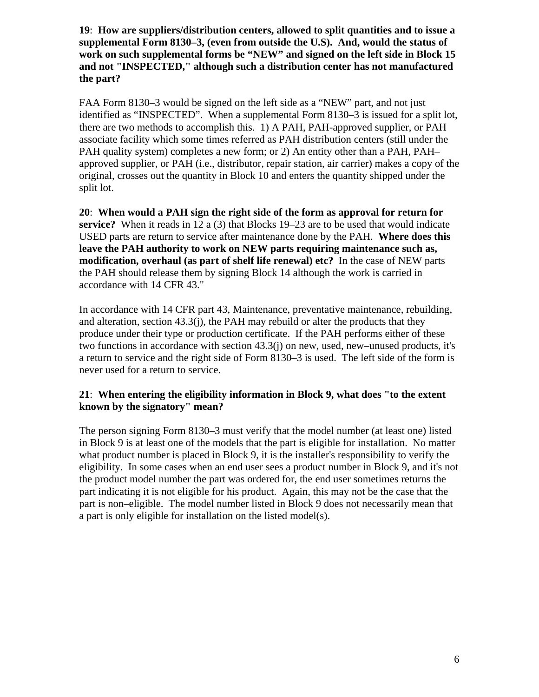**19**: **How are suppliers/distribution centers, allowed to split quantities and to issue a supplemental Form 8130–3, (even from outside the U.S). And, would the status of work on such supplemental forms be "NEW" and signed on the left side in Block 15 and not "INSPECTED," although such a distribution center has not manufactured the part?**

FAA Form 8130–3 would be signed on the left side as a "NEW" part, and not just identified as "INSPECTED". When a supplemental Form 8130–3 is issued for a split lot, there are two methods to accomplish this. 1) A PAH, PAH-approved supplier, or PAH associate facility which some times referred as PAH distribution centers (still under the PAH quality system) completes a new form; or 2) An entity other than a PAH, PAH– approved supplier, or PAH (i.e., distributor, repair station, air carrier) makes a copy of the original, crosses out the quantity in Block 10 and enters the quantity shipped under the split lot.

**20**: **When would a PAH sign the right side of the form as approval for return for service?** When it reads in 12 a (3) that Blocks 19–23 are to be used that would indicate USED parts are return to service after maintenance done by the PAH. **Where does this leave the PAH authority to work on NEW parts requiring maintenance such as, modification, overhaul (as part of shelf life renewal) etc?** In the case of NEW parts the PAH should release them by signing Block 14 although the work is carried in accordance with 14 CFR 43."

In accordance with 14 CFR part 43, Maintenance, preventative maintenance, rebuilding, and alteration, section  $43.3(i)$ , the PAH may rebuild or alter the products that they produce under their type or production certificate. If the PAH performs either of these two functions in accordance with section 43.3(j) on new, used, new–unused products, it's a return to service and the right side of Form 8130–3 is used. The left side of the form is never used for a return to service.

#### **21**: **When entering the eligibility information in Block 9, what does "to the extent known by the signatory" mean?**

The person signing Form 8130–3 must verify that the model number (at least one) listed in Block 9 is at least one of the models that the part is eligible for installation. No matter what product number is placed in Block 9, it is the installer's responsibility to verify the eligibility. In some cases when an end user sees a product number in Block 9, and it's not the product model number the part was ordered for, the end user sometimes returns the part indicating it is not eligible for his product. Again, this may not be the case that the part is non–eligible. The model number listed in Block 9 does not necessarily mean that a part is only eligible for installation on the listed model(s).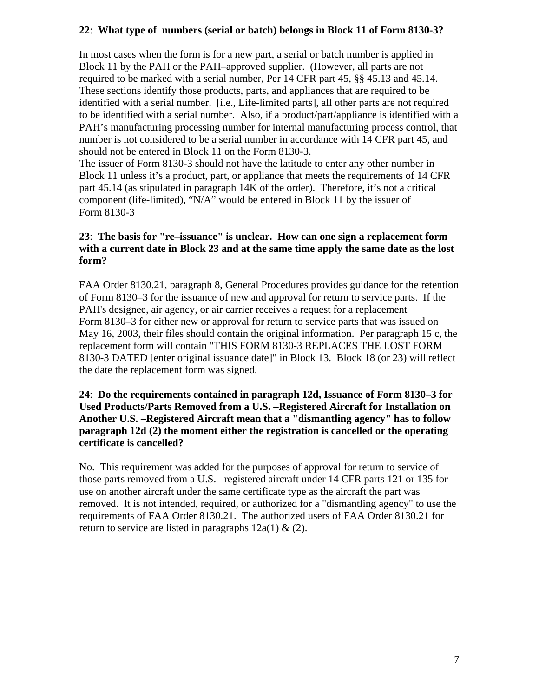### **22**: **What type of numbers (serial or batch) belongs in Block 11 of Form 8130-3?**

In most cases when the form is for a new part, a serial or batch number is applied in Block 11 by the PAH or the PAH–approved supplier. (However, all parts are not required to be marked with a serial number, Per 14 CFR part 45, §§ 45.13 and 45.14. These sections identify those products, parts, and appliances that are required to be identified with a serial number. [i.e., Life-limited parts], all other parts are not required to be identified with a serial number. Also, if a product/part/appliance is identified with a PAH's manufacturing processing number for internal manufacturing process control, that number is not considered to be a serial number in accordance with 14 CFR part 45, and should not be entered in Block 11 on the Form 8130-3.

The issuer of Form 8130-3 should not have the latitude to enter any other number in Block 11 unless it's a product, part, or appliance that meets the requirements of 14 CFR part 45.14 (as stipulated in paragraph 14K of the order). Therefore, it's not a critical component (life-limited), "N/A" would be entered in Block 11 by the issuer of Form 8130-3

### **23**: **The basis for "re–issuance" is unclear. How can one sign a replacement form with a current date in Block 23 and at the same time apply the same date as the lost form?**

FAA Order 8130.21, paragraph 8, General Procedures provides guidance for the retention of Form 8130–3 for the issuance of new and approval for return to service parts. If the PAH's designee, air agency, or air carrier receives a request for a replacement Form 8130–3 for either new or approval for return to service parts that was issued on May 16, 2003, their files should contain the original information. Per paragraph 15 c, the replacement form will contain "THIS FORM 8130-3 REPLACES THE LOST FORM 8130-3 DATED [enter original issuance date]" in Block 13. Block 18 (or 23) will reflect the date the replacement form was signed.

### **24**: **Do the requirements contained in paragraph 12d, Issuance of Form 8130–3 for Used Products/Parts Removed from a U.S. –Registered Aircraft for Installation on Another U.S. –Registered Aircraft mean that a "dismantling agency" has to follow paragraph 12d (2) the moment either the registration is cancelled or the operating certificate is cancelled?**

No. This requirement was added for the purposes of approval for return to service of those parts removed from a U.S. –registered aircraft under 14 CFR parts 121 or 135 for use on another aircraft under the same certificate type as the aircraft the part was removed. It is not intended, required, or authorized for a "dismantling agency" to use the requirements of FAA Order 8130.21. The authorized users of FAA Order 8130.21 for return to service are listed in paragraphs  $12a(1) \& (2)$ .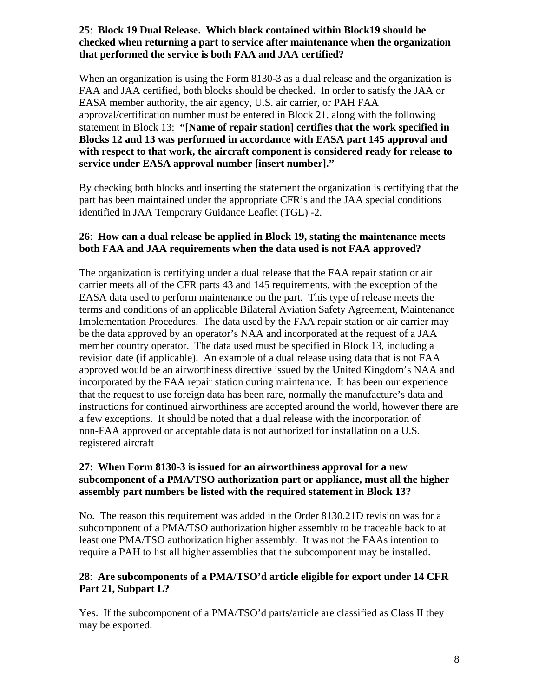## **25**: **Block 19 Dual Release. Which block contained within Block19 should be checked when returning a part to service after maintenance when the organization that performed the service is both FAA and JAA certified?**

When an organization is using the Form 8130-3 as a dual release and the organization is FAA and JAA certified, both blocks should be checked. In order to satisfy the JAA or EASA member authority, the air agency, U.S. air carrier, or PAH FAA approval/certification number must be entered in Block 21, along with the following statement in Block 13: **"[Name of repair station] certifies that the work specified in Blocks 12 and 13 was performed in accordance with EASA part 145 approval and with respect to that work, the aircraft component is considered ready for release to service under EASA approval number [insert number]."**

By checking both blocks and inserting the statement the organization is certifying that the part has been maintained under the appropriate CFR's and the JAA special conditions identified in JAA Temporary Guidance Leaflet (TGL) -2.

### **26**: **How can a dual release be applied in Block 19, stating the maintenance meets both FAA and JAA requirements when the data used is not FAA approved?**

The organization is certifying under a dual release that the FAA repair station or air carrier meets all of the CFR parts 43 and 145 requirements, with the exception of the EASA data used to perform maintenance on the part. This type of release meets the terms and conditions of an applicable Bilateral Aviation Safety Agreement, Maintenance Implementation Procedures. The data used by the FAA repair station or air carrier may be the data approved by an operator's NAA and incorporated at the request of a JAA member country operator. The data used must be specified in Block 13, including a revision date (if applicable). An example of a dual release using data that is not FAA approved would be an airworthiness directive issued by the United Kingdom's NAA and incorporated by the FAA repair station during maintenance. It has been our experience that the request to use foreign data has been rare, normally the manufacture's data and instructions for continued airworthiness are accepted around the world, however there are a few exceptions. It should be noted that a dual release with the incorporation of non-FAA approved or acceptable data is not authorized for installation on a U.S. registered aircraft

## **27**: **When Form 8130-3 is issued for an airworthiness approval for a new subcomponent of a PMA/TSO authorization part or appliance, must all the higher assembly part numbers be listed with the required statement in Block 13?**

No. The reason this requirement was added in the Order 8130.21D revision was for a subcomponent of a PMA/TSO authorization higher assembly to be traceable back to at least one PMA/TSO authorization higher assembly. It was not the FAAs intention to require a PAH to list all higher assemblies that the subcomponent may be installed.

## **28**: **Are subcomponents of a PMA/TSO'd article eligible for export under 14 CFR Part 21, Subpart L?**

Yes. If the subcomponent of a PMA/TSO'd parts/article are classified as Class II they may be exported.